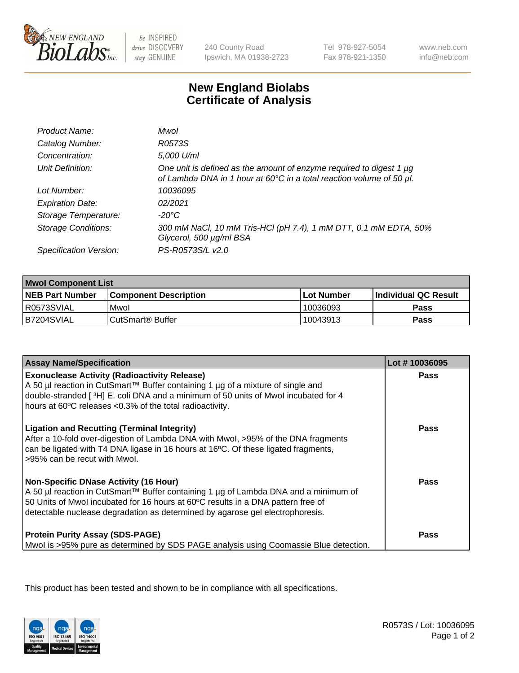

be INSPIRED drive DISCOVERY stay GENUINE

240 County Road Ipswich, MA 01938-2723

Tel 978-927-5054 Fax 978-921-1350

www.neb.com info@neb.com

## **New England Biolabs Certificate of Analysis**

| Product Name:              | Mwol                                                                                                                                             |
|----------------------------|--------------------------------------------------------------------------------------------------------------------------------------------------|
| Catalog Number:            | R0573S                                                                                                                                           |
| Concentration:             | 5,000 U/ml                                                                                                                                       |
| Unit Definition:           | One unit is defined as the amount of enzyme required to digest 1 $\mu$ g<br>of Lambda DNA in 1 hour at 60°C in a total reaction volume of 50 µl. |
| Lot Number:                | 10036095                                                                                                                                         |
| <b>Expiration Date:</b>    | 02/2021                                                                                                                                          |
| Storage Temperature:       | -20°C                                                                                                                                            |
| <b>Storage Conditions:</b> | 300 mM NaCl, 10 mM Tris-HCl (pH 7.4), 1 mM DTT, 0.1 mM EDTA, 50%<br>Glycerol, 500 µg/ml BSA                                                      |
| Specification Version:     | PS-R0573S/L v2.0                                                                                                                                 |

| <b>Mwol Component List</b> |                              |              |                             |  |
|----------------------------|------------------------------|--------------|-----------------------------|--|
| <b>NEB Part Number</b>     | <b>Component Description</b> | l Lot Number | <b>Individual QC Result</b> |  |
| I R0573SVIAL               | Mwol                         | 10036093     | Pass                        |  |
| B7204SVIAL                 | l CutSmart® Buffer           | 10043913     | Pass                        |  |

| <b>Assay Name/Specification</b>                                                                                                                                                                                                                                                                          | Lot #10036095 |
|----------------------------------------------------------------------------------------------------------------------------------------------------------------------------------------------------------------------------------------------------------------------------------------------------------|---------------|
| <b>Exonuclease Activity (Radioactivity Release)</b><br>A 50 µl reaction in CutSmart™ Buffer containing 1 µg of a mixture of single and<br>double-stranded [3H] E. coli DNA and a minimum of 50 units of Mwol incubated for 4<br>hours at 60°C releases <0.3% of the total radioactivity.                 | <b>Pass</b>   |
| <b>Ligation and Recutting (Terminal Integrity)</b><br>After a 10-fold over-digestion of Lambda DNA with Mwol, >95% of the DNA fragments<br>can be ligated with T4 DNA ligase in 16 hours at 16°C. Of these ligated fragments,<br>>95% can be recut with Mwol.                                            | Pass          |
| <b>Non-Specific DNase Activity (16 Hour)</b><br>A 50 µl reaction in CutSmart™ Buffer containing 1 µg of Lambda DNA and a minimum of<br>50 Units of Mwol incubated for 16 hours at 60°C results in a DNA pattern free of<br>detectable nuclease degradation as determined by agarose gel electrophoresis. | Pass          |
| <b>Protein Purity Assay (SDS-PAGE)</b><br>Mwol is >95% pure as determined by SDS PAGE analysis using Coomassie Blue detection.                                                                                                                                                                           | Pass          |

This product has been tested and shown to be in compliance with all specifications.